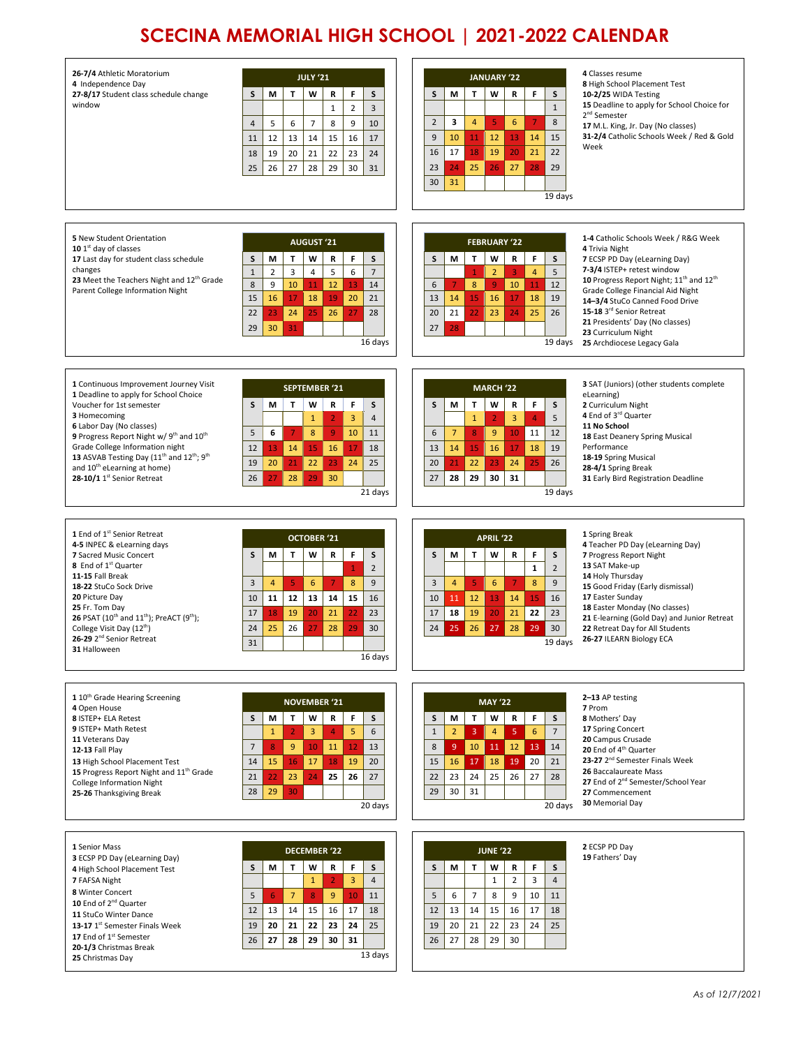## **SCECINA MEMORIAL HIGH SCHOOL | 2021-2022 CALENDAR**

| 26-7/4 Athletic Moratorium<br>4 Independence Day<br>27-8/17 Student class schedule change<br>window                                                                                                                                                                                                                                                                                                                     | <b>JULY '21</b><br>F<br>S<br>S<br>T.<br>W<br>${\sf R}$<br>М<br>$\overline{2}$<br>$\mathbf{1}$<br>3<br>$\overline{7}$<br>6<br>8<br>9<br>$\overline{4}$<br>5<br>10<br>12<br>14<br>15<br>11<br>13<br>16<br>17<br>19<br>18<br>20<br>21<br>22<br>23<br>24<br>26<br>27<br>28<br>29<br>30<br>25<br>31                                    | 4 Classes resume<br><b>JANUARY '22</b><br>8 High School Placement Test<br>F<br>S<br>S<br>M<br>T<br>W<br>R<br>10-2/25 WIDA Testing<br>15 Deadline to apply for School Choice for<br>$1\,$<br>2 <sup>nd</sup> Semester<br>8<br>$\overline{2}$<br>з<br>4<br>5<br>6<br>$\overline{7}$<br>17 M.L. King, Jr. Day (No classes)<br>15<br>12<br>14<br>31-2/4 Catholic Schools Week / Red & Gold<br>9<br>10<br>13<br>11<br>Week<br>21<br>22<br>16<br>17<br>18<br>19<br>20<br>25<br>26<br>27<br>28<br>29<br>23<br>24<br>30<br>31<br>19 days                                                                                                                    |
|-------------------------------------------------------------------------------------------------------------------------------------------------------------------------------------------------------------------------------------------------------------------------------------------------------------------------------------------------------------------------------------------------------------------------|-----------------------------------------------------------------------------------------------------------------------------------------------------------------------------------------------------------------------------------------------------------------------------------------------------------------------------------|-----------------------------------------------------------------------------------------------------------------------------------------------------------------------------------------------------------------------------------------------------------------------------------------------------------------------------------------------------------------------------------------------------------------------------------------------------------------------------------------------------------------------------------------------------------------------------------------------------------------------------------------------------|
| 5 New Student Orientation<br>10 $1st$ day of classes<br>17 Last day for student class schedule<br>changes<br>23 Meet the Teachers Night and 12 <sup>th</sup> Grade<br>Parent College Information Night                                                                                                                                                                                                                  | <b>AUGUST '21</b><br>F<br>S<br>S<br>М<br>т<br>W<br>R<br>$\overline{3}$<br>$\overline{7}$<br>$\mathbf{1}$<br>$\overline{2}$<br>$\overline{4}$<br>5<br>6<br>8<br>9<br>10<br>11<br>12<br>14<br>13<br>15<br>16<br>17<br>18<br>21<br>19<br>20<br>22<br>24<br>25<br>26<br>23<br>27<br>28<br>30<br>29<br>31<br>16 days                   | 1-4 Catholic Schools Week / R&G Week<br><b>FEBRUARY '22</b><br>4 Trivia Night<br>T<br>S<br>S<br>М<br>w<br>R<br>F<br>7 ECSP PD Day (eLearning Day)<br>7-3/4 ISTEP+ retest window<br>5<br>$\overline{2}$<br>$\overline{4}$<br>3<br>1<br>10 Progress Report Night; 11 <sup>th</sup> and 12 <sup>th</sup><br>10<br>8<br>9<br>11<br>12<br>6<br>7<br>Grade College Financial Aid Night<br>13<br>17<br>18<br>14<br>15<br>16<br>19<br>14-3/4 StuCo Canned Food Drive<br>15-18 3rd Senior Retreat<br>20<br>21<br>23<br>24<br>25<br>26<br>22<br>21 Presidents' Day (No classes)<br>27<br>28<br>23 Curriculum Night<br>19 days<br>25 Archdiocese Legacy Gala   |
| 1 Continuous Improvement Journey Visit<br>1 Deadline to apply for School Choice<br>Voucher for 1st semester<br>3 Homecoming<br>6 Labor Day (No classes)<br>9 Progress Report Night w/ 9 <sup>th</sup> and 10 <sup>th</sup><br>Grade College Information night<br>13 ASVAB Testing Day (11 <sup>th</sup> and 12 <sup>th</sup> ; 9 <sup>th</sup><br>and 10 <sup>th</sup> eLearning at home)<br>28-10/1 1st Senior Retreat | <b>SEPTEMBER '21</b><br>T.<br>F.<br>м<br>W<br>R<br>S<br>S<br>3<br>$\overline{4}$<br>$\mathbf{1}$<br>$\overline{2}$<br>6<br>8<br>9<br>5<br>$\overline{7}$<br>10<br>11<br>13<br>14<br>15<br>16<br>12<br>17<br>18<br>19<br>20<br>24<br>25<br>21<br>22<br>23<br>27<br>28<br>29<br>30<br>26<br>21 days                                 | 3 SAT (Juniors) (other students complete<br><b>MARCH '22</b><br>eLearning)<br>F<br>S<br>S<br>M<br>T<br>W<br>R<br>2 Curriculum Night<br>4 End of 3rd Quarter<br>5<br>$\mathbf 1$<br>3<br>$\overline{4}$<br>$\overline{2}$<br>11 No School<br>$\overline{7}$<br>8<br>10<br>11<br>6<br>9<br>12<br>18 East Deanery Spring Musical<br>15<br>16<br>17<br>Performance<br>13<br>14<br>18<br>19<br>18-19 Spring Musical<br>26<br>20<br>22<br>24<br>25<br>21<br>23<br>28-4/1 Spring Break<br>27<br>30<br>31<br>28<br>29<br>31 Early Bird Registration Deadline<br>19 days                                                                                     |
| 1 End of 1 <sup>st</sup> Senior Retreat<br>4-5 INPEC & eLearning days<br>7 Sacred Music Concert<br>8 End of 1 <sup>st</sup> Quarter<br>11-15 Fall Break<br>18-22 StuCo Sock Drive<br>20 Picture Day<br>25 Fr. Tom Day<br><b>26</b> PSAT (10 <sup>th</sup> and 11 <sup>th</sup> ); PreACT (9 <sup>th</sup> );<br>College Visit Day (12 <sup>th</sup> )<br>26-29 2 <sup>nd</sup> Senior Retreat<br>31 Halloween           | <b>OCTOBER '21</b><br>F<br>S<br>S<br>M<br>т<br>W<br>${\sf R}$<br>$\overline{2}$<br>$\mathbf{1}$<br>3<br>5<br>6<br>8<br>9<br>4<br>7<br>10<br>11<br>12<br>13<br>14<br>15<br>16<br>23<br>17<br>18<br>19<br>20<br>21<br>22<br>25<br>24<br>26<br>27<br>28<br>29<br>30<br>31<br>16 days                                                 | 1 Spring Break<br>APRIL '22<br>4 Teacher PD Day (eLearning Day)<br>$\mathsf S$<br>T.<br>W<br>F<br>S<br>M<br>$\mathbf R$<br>7 Progress Report Night<br>13 SAT Make-up<br>$\mathbf 1$<br>$\overline{2}$<br>14 Holy Thursday<br>$\overline{3}$<br>8<br>9<br>$\overline{4}$<br>5<br>6<br>$\overline{7}$<br>15 Good Friday (Early dismissal)<br>17 Easter Sunday<br>12<br>14<br>15<br>16<br>10<br>11<br>13<br>18 Easter Monday (No classes)<br>17<br>21<br>22<br>23<br>19<br>20<br>18<br>21 E-learning (Gold Day) and Junior Retreat<br>28<br>29<br>24<br>25<br>26<br>27<br>30<br>22 Retreat Day for All Students<br>26-27 ILEARN Biology ECA<br>19 days |
| 1 10 <sup>th</sup> Grade Hearing Screening<br>4 Open House<br>8 ISTEP+ ELA Retest<br>9 ISTEP+ Math Retest<br>11 Veterans Day<br>12-13 Fall Play<br>13 High School Placement Test<br>15 Progress Report Night and 11 <sup>th</sup> Grade<br><b>College Information Night</b><br>25-26 Thanksgiving Break                                                                                                                 | <b>NOVEMBER '21</b><br>T<br>F<br>S<br>м<br>W<br>R<br>S<br>$\overline{2}$<br>3<br>5<br>6<br>$\mathbf{1}$<br>$\overline{4}$<br>$\overline{7}$<br>$\overline{9}$<br>10<br>8<br>11<br>12<br>13<br>15<br>14<br>16<br>17<br>18<br>19<br>20<br>23<br>25<br>21<br>22<br>24<br>26<br>27<br>29<br>28<br>30<br>20 days                       | 2-13 AP testing<br><b>MAY '22</b><br>7 Prom<br>М<br>T<br>W<br>S<br>R<br>F<br>S<br>8 Mothers' Day<br>17 Spring Concert<br>$\overline{7}$<br>3<br>5<br>6<br>$\mathbf{1}$<br>$\overline{2}$<br>$\overline{4}$<br>20 Campus Crusade<br>10<br>11<br>12<br>13<br>8<br>-9<br>14<br>20 End of 4 <sup>th</sup> Quarter<br>23-27 2 <sup>nd</sup> Semester Finals Week<br>20<br>15<br>16<br>18<br>19<br>21<br>17<br>26 Baccalaureate Mass<br>23<br>24<br>25<br>26<br>27<br>28<br>22<br>27 End of 2 <sup>nd</sup> Semester/School Year<br>29<br>30<br>31<br>27 Commencement<br>30 Memorial Day<br>20 days                                                       |
| 1 Senior Mass<br>3 ECSP PD Day (eLearning Day)<br>4 High School Placement Test<br>7 FAFSA Night<br>8 Winter Concert<br>10 End of 2 <sup>nd</sup> Quarter<br>11 StuCo Winter Dance<br>13-17 1 <sup>st</sup> Semester Finals Week<br>17 End of 1st Semester<br>20-1/3 Christmas Break<br>25 Christmas Day                                                                                                                 | <b>DECEMBER '22</b><br>S<br>S<br>M<br>T.<br>W<br>F<br>R<br>$\mathbf{1}$<br>$\overline{3}$<br>$\overline{4}$<br>$\overline{2}$<br>5<br>7 <sup>2</sup><br>$\boldsymbol{8}$<br>9<br>10<br>11<br>6<br>13<br>14<br>15<br>16<br>17<br>18<br>12<br>20<br>21<br>22<br>23<br>25<br>19<br>24<br>26<br>27<br>28<br>29<br>30<br>31<br>13 days | 2 ECSP PD Day<br><b>JUNE '22</b><br>19 Fathers' Day<br>T<br>S<br>S<br>M<br>F<br>w<br>R<br>$\mathbf 1$<br>$\overline{2}$<br>3<br>$\overline{4}$<br>$\overline{7}$<br>5<br>6<br>8<br>9<br>10<br>11<br>12<br>13<br>14<br>15<br>16<br>17<br>18<br>19<br>20<br>22<br>23<br>24<br>25<br>21<br>26<br>27<br>28<br>29<br>30                                                                                                                                                                                                                                                                                                                                  |